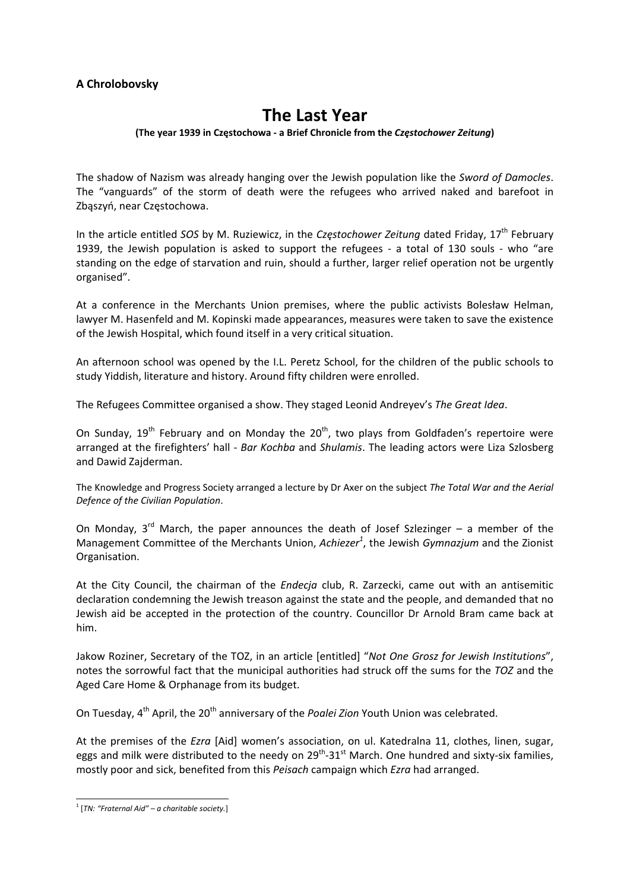# **A Chrolobovsky**

# **The Last Year**

#### **(The year 1939 in Częstochowa ‐ a Brief Chronicle from the** *Częstochower Zeitung***)**

The shadow of Nazism was already hanging over the Jewish population like the *Sword of Damocles*. The "vanguards" of the storm of death were the refugees who arrived naked and barefoot in Zbąszyń, near Częstochowa.

In the article entitled *SOS* by M. Ruziewicz, in the *Częstochower Zeitung* dated Friday, 17th February 1939, the Jewish population is asked to support the refugees - a total of 130 souls - who "are standing on the edge of starvation and ruin, should a further, larger relief operation not be urgently organised".

At a conference in the Merchants Union premises, where the public activists Bolesław Helman, lawyer M. Hasenfeld and M. Kopinski made appearances, measures were taken to save the existence of the Jewish Hospital, which found itself in a very critical situation.

An afternoon school was opened by the I.L. Peretz School, for the children of the public schools to study Yiddish, literature and history. Around fifty children were enrolled.

The Refugees Committee organised a show. They staged Leonid Andreyev's *The Great Idea*.

On Sunday,  $19^{th}$  February and on Monday the  $20^{th}$ , two plays from Goldfaden's repertoire were arranged at the firefighters' hall ‐ *Bar Kochba* and *Shulamis*. The leading actors were Liza Szlosberg and Dawid Zajderman.

The Knowledge and Progress Society arranged a lecture by Dr Axer on the subject *The Total War and the Aerial Defence of the Civilian Population*.

On Monday,  $3^{rd}$  March, the paper announces the death of Josef Szlezinger – a member of the Management Committee of the Merchants Union, *Achiezer<sup>1</sup>* , the Jewish *Gymnazjum* and the Zionist Organisation.

At the City Council, the chairman of the *Endecja* club, R. Zarzecki, came out with an antisemitic declaration condemning the Jewish treason against the state and the people, and demanded that no Jewish aid be accepted in the protection of the country. Councillor Dr Arnold Bram came back at him.

Jakow Roziner, Secretary of the TOZ, in an article [entitled] "*Not One Grosz for Jewish Institutions*", notes the sorrowful fact that the municipal authorities had struck off the sums for the *TOZ* and the Aged Care Home & Orphanage from its budget.

On Tuesday, 4<sup>th</sup> April, the 20<sup>th</sup> anniversary of the *Poalei Zion* Youth Union was celebrated.

At the premises of the *Ezra* [Aid] women's association, on ul. Katedralna 11, clothes, linen, sugar, eggs and milk were distributed to the needy on  $29^{th}$ –31st March. One hundred and sixty-six families, mostly poor and sick, benefited from this *Peisach* campaign which *Ezra* had arranged.

 <sup>1</sup> [*TN: "Fraternal Aid" – <sup>a</sup> charitable society.*]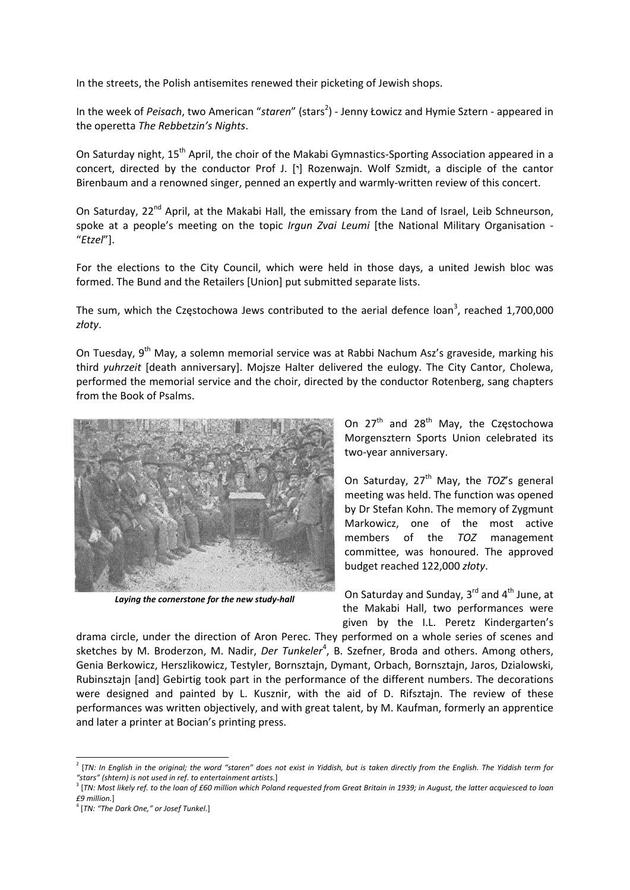In the streets, the Polish antisemites renewed their picketing of Jewish shops.

In the week of *Peisach*, two American "staren" (stars<sup>2</sup>) - Jenny Łowicz and Hymie Sztern - appeared in the operetta *The Rebbetzin's Nights*.

On Saturday night, 15<sup>th</sup> April, the choir of the Makabi Gymnastics-Sporting Association appeared in a concert, directed by the conductor Prof J. [ $\cdot$ ] Rozenwajn. Wolf Szmidt, a disciple of the cantor Birenbaum and a renowned singer, penned an expertly and warmly‐written review of this concert.

On Saturday, 22<sup>nd</sup> April, at the Makabi Hall, the emissary from the Land of Israel, Leib Schneurson, spoke at a people's meeting on the topic *Irgun Zvai Leumi* [the National Military Organisation ‐ "*Etzel*"].

For the elections to the City Council, which were held in those days, a united Jewish bloc was formed. The Bund and the Retailers [Union] put submitted separate lists.

The sum, which the Częstochowa Jews contributed to the aerial defence loan<sup>3</sup>, reached 1,700,000 *złoty*.

On Tuesday, 9<sup>th</sup> May, a solemn memorial service was at Rabbi Nachum Asz's graveside, marking his third *yuhrzeit* [death anniversary]. Mojsze Halter delivered the eulogy. The City Cantor, Cholewa, performed the memorial service and the choir, directed by the conductor Rotenberg, sang chapters from the Book of Psalms.



*Laying the cornerstone for the new study‐hall*

On  $27<sup>th</sup>$  and  $28<sup>th</sup>$  May, the Częstochowa Morgensztern Sports Union celebrated its two‐year anniversary.

On Saturday, 27<sup>th</sup> May, the *TOZ's* general meeting was held. The function was opened by Dr Stefan Kohn. The memory of Zygmunt Markowicz, one of the most active members of the *TOZ* management committee, was honoured. The approved budget reached 122,000 *złoty*.

On Saturday and Sunday,  $3^{rd}$  and  $4^{th}$  June, at the Makabi Hall, two performances were given by the I.L. Peretz Kindergarten's

drama circle, under the direction of Aron Perec. They performed on a whole series of scenes and sketches by M. Broderzon, M. Nadir, *Der Tunkeler<sup>4</sup>*, B. Szefner, Broda and others. Among others, Genia Berkowicz, Herszlikowicz, Testyler, Bornsztajn, Dymant, Orbach, Bornsztajn, Jaros, Dzialowski, Rubinsztajn [and] Gebirtig took part in the performance of the different numbers. The decorations were designed and painted by L. Kusznir, with the aid of D. Rifsztajn. The review of these performances was written objectively, and with great talent, by M. Kaufman, formerly an apprentice and later a printer at Bocian's printing press.

<sup>&</sup>lt;sup>2</sup> [TN: In English in the original; the word "staren" does not exist in Yiddish, but is taken directly from the English. The Yiddish term for

<sup>&</sup>quot;stars" (shtern) is not used in ref. to entertainment artists.]<br><sup>3</sup> [TN: Most likely ref. to the loan of £60 million which Poland requested from Great Britain in 1939; in August, the latter acquiesced to loan *£9 million.*]

<sup>4</sup> [*TN: "The Dark One," or Josef Tunkel.*]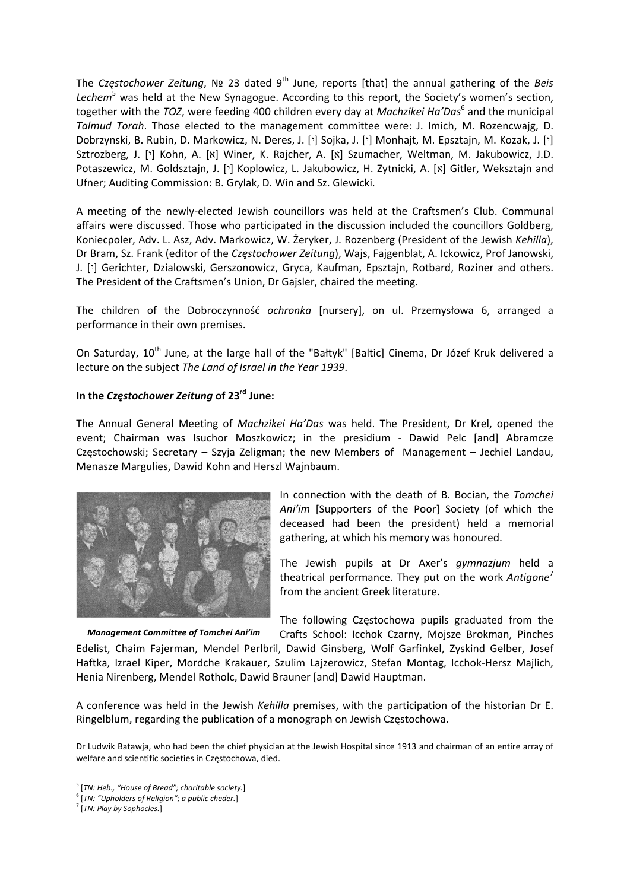The *Częstochower Zeitung*, № 23 dated 9th June, reports [that] the annual gathering of the *Beis Lechem*<sup>5</sup> was held at the New Synagogue. According to this report, the Society's women's section, together with the *TOZ*, were feeding 400 children every day at *Machzikei Ha'Das*<sup>6</sup> and the municipal *Talmud Torah*. Those elected to the management committee were: J. Imich, M. Rozencwajg, D. Dobrzynski, B. Rubin, D. Markowicz, N. Deres, J. ['] Sojka, J. ['] Monhajt, M. Epsztajn, M. Kozak, J. ['] Sztrozberg, J. ['] Kohn, A. [x] Winer, K. Rajcher, A. [x] Szumacher, Weltman, M. Jakubowicz, J.D. Potaszewicz, M. Goldsztajn, J. ['] Koplowicz, L. Jakubowicz, H. Zytnicki, A. [x] Gitler, Weksztajn and Ufner; Auditing Commission: B. Grylak, D. Win and Sz. Glewicki.

A meeting of the newly‐elected Jewish councillors was held at the Craftsmen's Club. Communal affairs were discussed. Those who participated in the discussion included the councillors Goldberg, Koniecpoler, Adv. L. Asz, Adv. Markowicz, W. Żeryker, J. Rozenberg (President of the Jewish *Kehilla*), Dr Bram, Sz. Frank (editor of the *Częstochower Zeitung*), Wajs, Fajgenblat, A. Ickowicz, Prof Janowski, J. [ $\cdot$ ] Gerichter, Dzialowski, Gerszonowicz, Gryca, Kaufman, Epsztajn, Rotbard, Roziner and others. The President of the Craftsmen's Union, Dr Gajsler, chaired the meeting.

The children of the Dobroczynność *ochronka* [nursery], on ul. Przemysłowa 6, arranged a performance in their own premises.

On Saturday, 10<sup>th</sup> June, at the large hall of the "Bałtyk" [Baltic] Cinema, Dr Józef Kruk delivered a lecture on the subject *The Land of Israel in the Year 1939*.

#### **In the** *Częstochower Zeitung* **of 23rd June:**

The Annual General Meeting of *Machzikei Ha'Das* was held. The President, Dr Krel, opened the event; Chairman was Isuchor Moszkowicz; in the presidium - Dawid Pelc [and] Abramcze Częstochowski; Secretary – Szyja Zeligman; the new Members of Management – Jechiel Landau, Menasze Margulies, Dawid Kohn and Herszl Wajnbaum.



In connection with the death of B. Bocian, the *Tomchei Ani'im* [Supporters of the Poor] Society (of which the deceased had been the president) held a memorial gathering, at which his memory was honoured.

The Jewish pupils at Dr Axer's *gymnazjum* held a theatrical performance. They put on the work *Antigone* from the ancient Greek literature.

The following Częstochowa pupils graduated from the

Crafts School: Icchok Czarny, Mojsze Brokman, Pinches Edelist, Chaim Fajerman, Mendel Perlbril, Dawid Ginsberg, Wolf Garfinkel, Zyskind Gelber, Josef Haftka, Izrael Kiper, Mordche Krakauer, Szulim Lajzerowicz, Stefan Montag, Icchok‐Hersz Majlich, Henia Nirenberg, Mendel Rotholc, Dawid Brauner [and] Dawid Hauptman. *Management Committee of Tomchei Ani'im*

A conference was held in the Jewish *Kehilla* premises, with the participation of the historian Dr E. Ringelblum, regarding the publication of a monograph on Jewish Częstochowa.

Dr Ludwik Batawja, who had been the chief physician at the Jewish Hospital since 1913 and chairman of an entire array of welfare and scientific societies in Częstochowa, died.

 <sup>5</sup> [*TN: Heb., "House of Bread"; charitable society.*]

<sup>6</sup> [*TN: "Upholders of Religion"; a public cheder.*]

<sup>7</sup> [*TN: Play by Sophocles.*]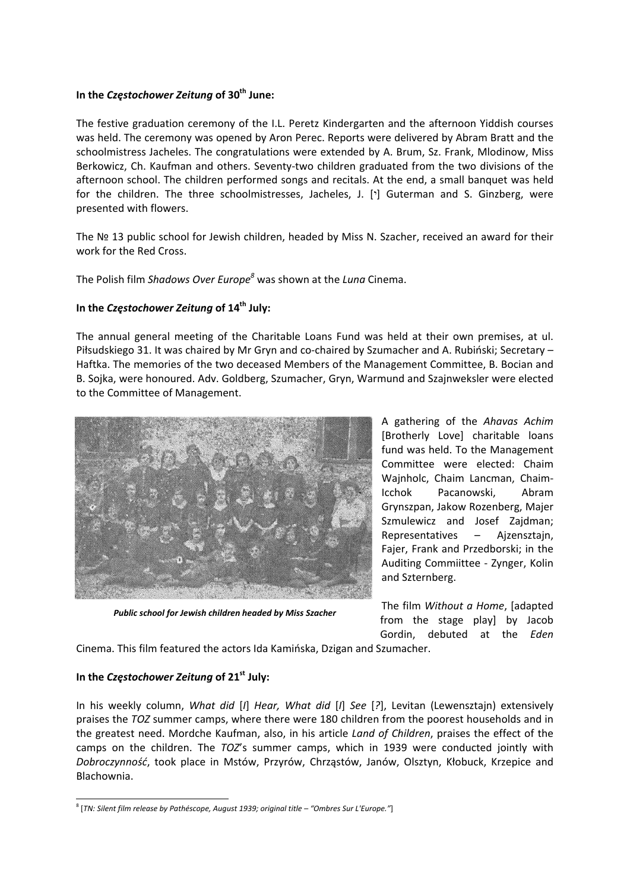#### **In the** *Częstochower Zeitung* **of 30th June:**

The festive graduation ceremony of the I.L. Peretz Kindergarten and the afternoon Yiddish courses was held. The ceremony was opened by Aron Perec. Reports were delivered by Abram Bratt and the schoolmistress Jacheles. The congratulations were extended by A. Brum, Sz. Frank, Mlodinow, Miss Berkowicz, Ch. Kaufman and others. Seventy-two children graduated from the two divisions of the afternoon school. The children performed songs and recitals. At the end, a small banquet was held for the children. The three schoolmistresses, Jacheles, J. [ $\cdot$ ] Guterman and S. Ginzberg, were presented with flowers.

The Nº 13 public school for Jewish children, headed by Miss N. Szacher, received an award for their work for the Red Cross.

The Polish film *Shadows Over Europe<sup>8</sup>* was shown at the *Luna* Cinema.

# **In the** *Częstochower Zeitung* **of 14th July:**

The annual general meeting of the Charitable Loans Fund was held at their own premises, at ul. Piłsudskiego 31. It was chaired by Mr Gryn and co‐chaired by Szumacher and A. Rubiński; Secretary – Haftka. The memories of the two deceased Members of the Management Committee, B. Bocian and B. Sojka, were honoured. Adv. Goldberg, Szumacher, Gryn, Warmund and Szajnweksler were elected to the Committee of Management.



*Public school for Jewish children headed by Miss Szacher*

A gathering of the *Ahavas Achim* [Brotherly Love] charitable loans fund was held. To the Management Committee were elected: Chaim Wajnholc, Chaim Lancman, Chaim‐ Icchok Pacanowski, Abram Grynszpan, Jakow Rozenberg, Majer Szmulewicz and Josef Zajdman; Representatives – Ajzensztajn, Fajer, Frank and Przedborski; in the Auditing Commiittee ‐ Zynger, Kolin and Szternberg.

The film *Without a Home*, [adapted from the stage play] by Jacob Gordin, debuted at the *Eden*

Cinema. This film featured the actors Ida Kamińska, Dzigan and Szumacher.

## **In the** *Częstochower Zeitung* **of 21st July:**

In his weekly column, *What did* [*I*] *Hear, What did* [*I*] *See* [*?*], Levitan (Lewensztajn) extensively praises the *TOZ* summer camps, where there were 180 children from the poorest households and in the greatest need. Mordche Kaufman, also, in his article *Land of Children*, praises the effect of the camps on the children. The *TOZ*'s summer camps, which in 1939 were conducted jointly with *Dobroczynność*, took place in Mstów, Przyrów, Chrząstów, Janów, Olsztyn, Kłobuck, Krzepice and Blachownia.

 <sup>8</sup> [*TN: Silent film release by Pathéscope, August 1939; original title – "Ombres Sur L'Europe."*]